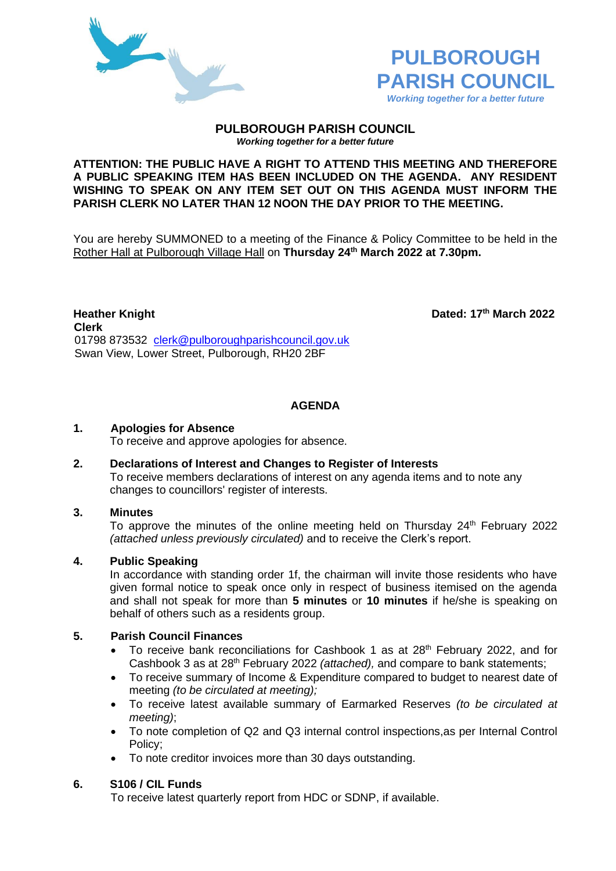



#### **PULBOROUGH PARISH COUNCIL** *Working together for a better future*

#### **ATTENTION: THE PUBLIC HAVE A RIGHT TO ATTEND THIS MEETING AND THEREFORE A PUBLIC SPEAKING ITEM HAS BEEN INCLUDED ON THE AGENDA. ANY RESIDENT WISHING TO SPEAK ON ANY ITEM SET OUT ON THIS AGENDA MUST INFORM THE PARISH CLERK NO LATER THAN 12 NOON THE DAY PRIOR TO THE MEETING.**

You are hereby SUMMONED to a meeting of the Finance & Policy Committee to be held in the Rother Hall at Pulborough Village Hall on **Thursday 24th March 2022 at 7.30pm.** 

**Heather Knight Dated: 17th March 2022 Clerk** 01798 873532 [clerk@pulboroughparishcouncil.gov.uk](mailto:clerk@pulboroughparishcouncil.gov.uk) Swan View, Lower Street, Pulborough, RH20 2BF

# **AGENDA**

### **1. Apologies for Absence**

To receive and approve apologies for absence.

#### **2. Declarations of Interest and Changes to Register of Interests** To receive members declarations of interest on any agenda items and to note any changes to councillors' register of interests.

### **3. Minutes**

To approve the minutes of the online meeting held on Thursday  $24<sup>th</sup>$  February 2022 *(attached unless previously circulated)* and to receive the Clerk's report.

### **4. Public Speaking**

In accordance with standing order 1f, the chairman will invite those residents who have given formal notice to speak once only in respect of business itemised on the agenda and shall not speak for more than **5 minutes** or **10 minutes** if he/she is speaking on behalf of others such as a residents group.

#### **5. Parish Council Finances**

- To receive bank reconciliations for Cashbook 1 as at 28<sup>th</sup> February 2022, and for Cashbook 3 as at 28th February 2022 *(attached),* and compare to bank statements;
- To receive summary of Income & Expenditure compared to budget to nearest date of meeting *(to be circulated at meeting);*
- To receive latest available summary of Earmarked Reserves *(to be circulated at meeting)*;
- To note completion of Q2 and Q3 internal control inspections,as per Internal Control Policy;
- To note creditor invoices more than 30 days outstanding.

### **6. S106 / CIL Funds**

To receive latest quarterly report from HDC or SDNP, if available.